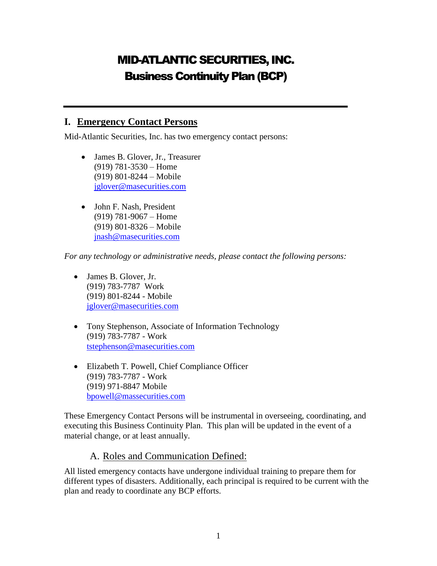# MID-ATLANTIC SECURITIES, INC. Business Continuity Plan (BCP)

#### **I. Emergency Contact Persons**

Mid-Atlantic Securities, Inc. has two emergency contact persons:

- James B. Glover, Jr., Treasurer (919) 781-3530 – Home (919) 801-8244 – Mobile [jglover@masecurities.com](mailto:jglover@masecurities.com)
- John F. Nash, President (919) 781-9067 – Home (919) 801-8326 – Mobile [jnash@masecurities.com](mailto:jnash@masecurities.com)

*For any technology or administrative needs, please contact the following persons:*

- James B. Glover, Jr. (919) 783-7787 Work (919) 801-8244 - Mobile [jglover@masecurities.com](mailto:jglover@masecurities.com)
- Tony Stephenson, Associate of Information Technology (919) 783-7787 - Work [tstephenson@masecurities.com](mailto:tstephenson@masecurities.com)
- Elizabeth T. Powell, Chief Compliance Officer (919) 783-7787 - Work (919) 971-8847 Mobile [bpowell@massecurities.com](mailto:bpowell@massecurities.com)

These Emergency Contact Persons will be instrumental in overseeing, coordinating, and executing this Business Continuity Plan. This plan will be updated in the event of a material change, or at least annually.

#### A. Roles and Communication Defined:

All listed emergency contacts have undergone individual training to prepare them for different types of disasters. Additionally, each principal is required to be current with the plan and ready to coordinate any BCP efforts.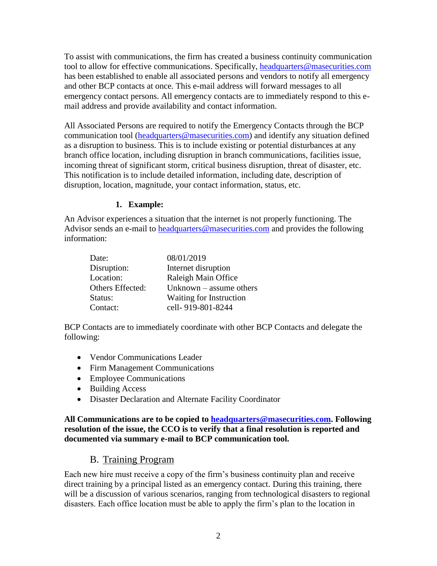To assist with communications, the firm has created a business continuity communication tool to allow for effective communications. Specifically, [headquarters@masecurities.com](mailto:headquarters@masecurities.com) has been established to enable all associated persons and vendors to notify all emergency and other BCP contacts at once. This e-mail address will forward messages to all emergency contact persons. All emergency contacts are to immediately respond to this email address and provide availability and contact information.

All Associated Persons are required to notify the Emergency Contacts through the BCP communication tool [\(headquarters@masecurities.com\)](mailto:headquarters@masecurities.com) and identify any situation defined as a disruption to business. This is to include existing or potential disturbances at any branch office location, including disruption in branch communications, facilities issue, incoming threat of significant storm, critical business disruption, threat of disaster, etc. This notification is to include detailed information, including date, description of disruption, location, magnitude, your contact information, status, etc.

#### **1. Example:**

An Advisor experiences a situation that the internet is not properly functioning. The Advisor sends an e-mail to [headquarters@masecurities.com](mailto:headquarters@masecurities.com) and provides the following information:

| Date:            | 08/01/2019                |
|------------------|---------------------------|
| Disruption:      | Internet disruption       |
| Location:        | Raleigh Main Office       |
| Others Effected: | Unknown $-$ assume others |
| Status:          | Waiting for Instruction   |
| Contact:         | cell-919-801-8244         |

BCP Contacts are to immediately coordinate with other BCP Contacts and delegate the following:

- Vendor Communications Leader
- Firm Management Communications
- Employee Communications
- Building Access
- Disaster Declaration and Alternate Facility Coordinator

**All Communications are to be copied to [headquarters@masecurities.com.](mailto:headquarters@masecurities.com) Following resolution of the issue, the CCO is to verify that a final resolution is reported and documented via summary e-mail to BCP communication tool.**

#### B. Training Program

Each new hire must receive a copy of the firm's business continuity plan and receive direct training by a principal listed as an emergency contact. During this training, there will be a discussion of various scenarios, ranging from technological disasters to regional disasters. Each office location must be able to apply the firm's plan to the location in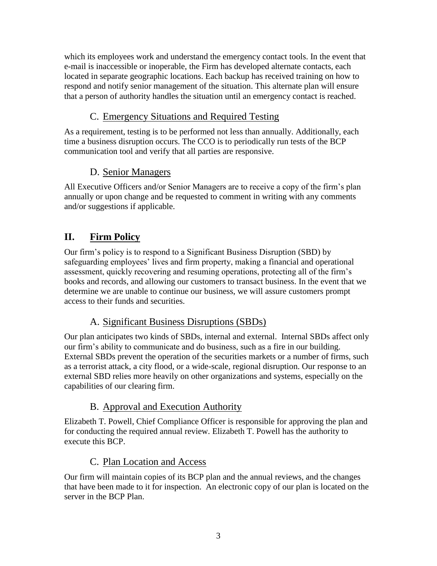which its employees work and understand the emergency contact tools. In the event that e-mail is inaccessible or inoperable, the Firm has developed alternate contacts, each located in separate geographic locations. Each backup has received training on how to respond and notify senior management of the situation. This alternate plan will ensure that a person of authority handles the situation until an emergency contact is reached.

### C. Emergency Situations and Required Testing

As a requirement, testing is to be performed not less than annually. Additionally, each time a business disruption occurs. The CCO is to periodically run tests of the BCP communication tool and verify that all parties are responsive.

### D. Senior Managers

All Executive Officers and/or Senior Managers are to receive a copy of the firm's plan annually or upon change and be requested to comment in writing with any comments and/or suggestions if applicable.

## **II. Firm Policy**

Our firm's policy is to respond to a Significant Business Disruption (SBD) by safeguarding employees' lives and firm property, making a financial and operational assessment, quickly recovering and resuming operations, protecting all of the firm's books and records, and allowing our customers to transact business. In the event that we determine we are unable to continue our business, we will assure customers prompt access to their funds and securities.

### A. Significant Business Disruptions (SBDs)

Our plan anticipates two kinds of SBDs, internal and external. Internal SBDs affect only our firm's ability to communicate and do business, such as a fire in our building. External SBDs prevent the operation of the securities markets or a number of firms, such as a terrorist attack, a city flood, or a wide-scale, regional disruption. Our response to an external SBD relies more heavily on other organizations and systems, especially on the capabilities of our clearing firm.

### B. Approval and Execution Authority

Elizabeth T. Powell, Chief Compliance Officer is responsible for approving the plan and for conducting the required annual review. Elizabeth T. Powell has the authority to execute this BCP.

#### C. Plan Location and Access

Our firm will maintain copies of its BCP plan and the annual reviews, and the changes that have been made to it for inspection. An electronic copy of our plan is located on the server in the BCP Plan.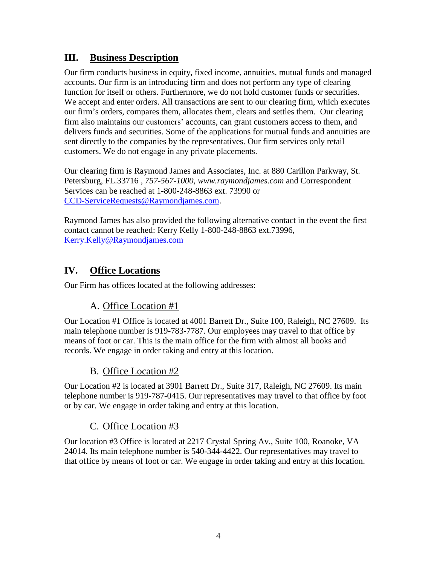### **III. Business Description**

Our firm conducts business in equity, fixed income, annuities, mutual funds and managed accounts. Our firm is an introducing firm and does not perform any type of clearing function for itself or others. Furthermore, we do not hold customer funds or securities. We accept and enter orders. All transactions are sent to our clearing firm, which executes our firm's orders, compares them, allocates them, clears and settles them. Our clearing firm also maintains our customers' accounts, can grant customers access to them, and delivers funds and securities. Some of the applications for mutual funds and annuities are sent directly to the companies by the representatives. Our firm services only retail customers. We do not engage in any private placements.

Our clearing firm is Raymond James and Associates, Inc. at 880 Carillon Parkway, St. Petersburg, FL.33716 *, 757-567-1000, www.raymondjames.com* and Correspondent Services can be reached at 1-800-248-8863 ext. 73990 or [CCD-ServiceRequests@Raymondjames.com.](mailto:CCD-ServiceRequests@Raymondjames.com)

Raymond James has also provided the following alternative contact in the event the first contact cannot be reached: Kerry Kelly 1-800-248-8863 ext.73996, [Kerry.Kelly@Raymondjames.com](mailto:Kerry.Kelly@Raymondjames.com)

### **IV. Office Locations**

Our Firm has offices located at the following addresses:

### A. Office Location #1

Our Location #1 Office is located at 4001 Barrett Dr., Suite 100, Raleigh, NC 27609. Its main telephone number is 919-783-7787. Our employees may travel to that office by means of foot or car. This is the main office for the firm with almost all books and records. We engage in order taking and entry at this location.

#### B. Office Location #2

Our Location #2 is located at 3901 Barrett Dr., Suite 317, Raleigh, NC 27609. Its main telephone number is 919-787-0415. Our representatives may travel to that office by foot or by car. We engage in order taking and entry at this location.

#### C. Office Location #3

Our location #3 Office is located at 2217 Crystal Spring Av., Suite 100, Roanoke, VA 24014. Its main telephone number is 540-344-4422. Our representatives may travel to that office by means of foot or car. We engage in order taking and entry at this location.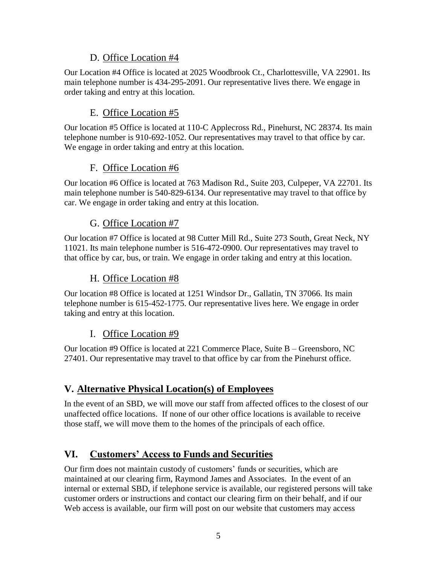#### D. Office Location #4

Our Location #4 Office is located at 2025 Woodbrook Ct., Charlottesville, VA 22901. Its main telephone number is 434-295-2091. Our representative lives there. We engage in order taking and entry at this location.

### E. Office Location #5

Our location #5 Office is located at 110-C Applecross Rd., Pinehurst, NC 28374. Its main telephone number is 910-692-1052. Our representatives may travel to that office by car. We engage in order taking and entry at this location.

### F. Office Location #6

Our location #6 Office is located at 763 Madison Rd., Suite 203, Culpeper, VA 22701. Its main telephone number is 540-829-6134. Our representative may travel to that office by car. We engage in order taking and entry at this location.

### G. Office Location #7

Our location #7 Office is located at 98 Cutter Mill Rd., Suite 273 South, Great Neck, NY 11021. Its main telephone number is 516-472-0900. Our representatives may travel to that office by car, bus, or train. We engage in order taking and entry at this location.

### H. Office Location #8

Our location #8 Office is located at 1251 Windsor Dr., Gallatin, TN 37066. Its main telephone number is 615-452-1775. Our representative lives here. We engage in order taking and entry at this location.

#### I. Office Location #9

Our location #9 Office is located at 221 Commerce Place, Suite B – Greensboro, NC 27401. Our representative may travel to that office by car from the Pinehurst office.

### **V. Alternative Physical Location(s) of Employees**

In the event of an SBD, we will move our staff from affected offices to the closest of our unaffected office locations. If none of our other office locations is available to receive those staff, we will move them to the homes of the principals of each office.

### **VI. Customers' Access to Funds and Securities**

Our firm does not maintain custody of customers' funds or securities, which are maintained at our clearing firm, Raymond James and Associates. In the event of an internal or external SBD, if telephone service is available, our registered persons will take customer orders or instructions and contact our clearing firm on their behalf, and if our Web access is available, our firm will post on our website that customers may access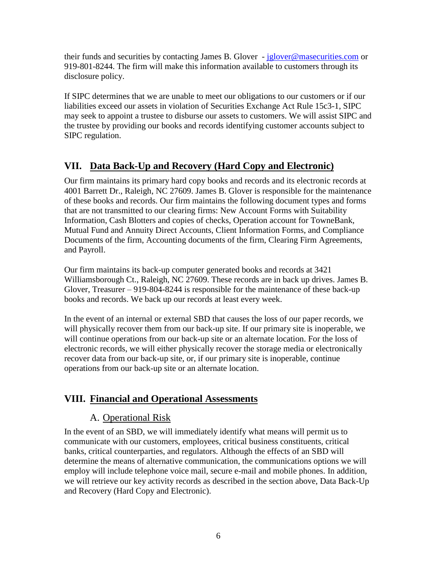their funds and securities by contacting James B. Glover - [jglover@masecurities.com](mailto:jglover@masecurities.com) or 919-801-8244. The firm will make this information available to customers through its disclosure policy.

If SIPC determines that we are unable to meet our obligations to our customers or if our liabilities exceed our assets in violation of Securities Exchange Act Rule 15c3-1, SIPC may seek to appoint a trustee to disburse our assets to customers. We will assist SIPC and the trustee by providing our books and records identifying customer accounts subject to SIPC regulation.

### **VII. Data Back-Up and Recovery (Hard Copy and Electronic)**

Our firm maintains its primary hard copy books and records and its electronic records at 4001 Barrett Dr., Raleigh, NC 27609. James B. Glover is responsible for the maintenance of these books and records. Our firm maintains the following document types and forms that are not transmitted to our clearing firms: New Account Forms with Suitability Information, Cash Blotters and copies of checks, Operation account for TowneBank, Mutual Fund and Annuity Direct Accounts, Client Information Forms, and Compliance Documents of the firm, Accounting documents of the firm, Clearing Firm Agreements, and Payroll.

Our firm maintains its back-up computer generated books and records at 3421 Williamsborough Ct., Raleigh, NC 27609. These records are in back up drives. James B. Glover, Treasurer – 919-804-8244 is responsible for the maintenance of these back-up books and records. We back up our records at least every week.

In the event of an internal or external SBD that causes the loss of our paper records, we will physically recover them from our back-up site. If our primary site is inoperable, we will continue operations from our back-up site or an alternate location. For the loss of electronic records, we will either physically recover the storage media or electronically recover data from our back-up site, or, if our primary site is inoperable, continue operations from our back-up site or an alternate location.

### **VIII. Financial and Operational Assessments**

### A. Operational Risk

In the event of an SBD, we will immediately identify what means will permit us to communicate with our customers, employees, critical business constituents, critical banks, critical counterparties, and regulators. Although the effects of an SBD will determine the means of alternative communication, the communications options we will employ will include telephone voice mail*,* secure e-mail and mobile phones. In addition, we will retrieve our key activity records as described in the section above, Data Back-Up and Recovery (Hard Copy and Electronic).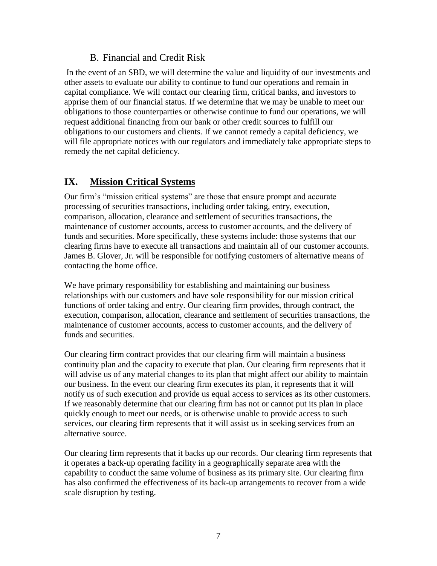#### B. Financial and Credit Risk

In the event of an SBD, we will determine the value and liquidity of our investments and other assets to evaluate our ability to continue to fund our operations and remain in capital compliance. We will contact our clearing firm, critical banks, and investors to apprise them of our financial status. If we determine that we may be unable to meet our obligations to those counterparties or otherwise continue to fund our operations, we will request additional financing from our bank or other credit sources to fulfill our obligations to our customers and clients. If we cannot remedy a capital deficiency, we will file appropriate notices with our regulators and immediately take appropriate steps to remedy the net capital deficiency.

### **IX. Mission Critical Systems**

Our firm's "mission critical systems" are those that ensure prompt and accurate processing of securities transactions, including order taking, entry, execution, comparison, allocation, clearance and settlement of securities transactions, the maintenance of customer accounts, access to customer accounts, and the delivery of funds and securities. More specifically, these systems include: those systems that our clearing firms have to execute all transactions and maintain all of our customer accounts. James B. Glover, Jr. will be responsible for notifying customers of alternative means of contacting the home office.

We have primary responsibility for establishing and maintaining our business relationships with our customers and have sole responsibility for our mission critical functions of order taking and entry. Our clearing firm provides, through contract, the execution, comparison, allocation, clearance and settlement of securities transactions, the maintenance of customer accounts, access to customer accounts, and the delivery of funds and securities.

Our clearing firm contract provides that our clearing firm will maintain a business continuity plan and the capacity to execute that plan. Our clearing firm represents that it will advise us of any material changes to its plan that might affect our ability to maintain our business. In the event our clearing firm executes its plan, it represents that it will notify us of such execution and provide us equal access to services as its other customers. If we reasonably determine that our clearing firm has not or cannot put its plan in place quickly enough to meet our needs, or is otherwise unable to provide access to such services, our clearing firm represents that it will assist us in seeking services from an alternative source.

Our clearing firm represents that it backs up our records. Our clearing firm represents that it operates a back-up operating facility in a geographically separate area with the capability to conduct the same volume of business as its primary site. Our clearing firm has also confirmed the effectiveness of its back-up arrangements to recover from a wide scale disruption by testing.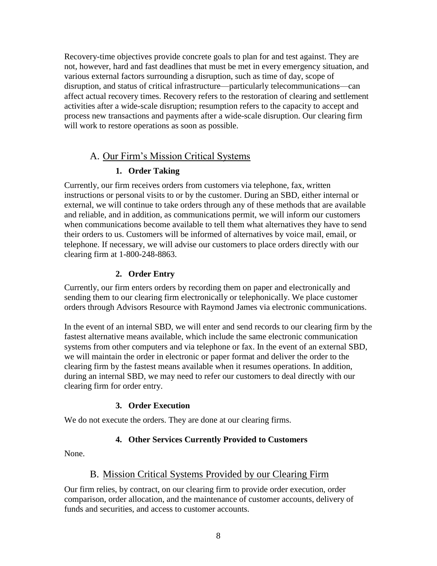Recovery-time objectives provide concrete goals to plan for and test against. They are not, however, hard and fast deadlines that must be met in every emergency situation, and various external factors surrounding a disruption, such as time of day, scope of disruption, and status of critical infrastructure—particularly telecommunications—can affect actual recovery times. Recovery refers to the restoration of clearing and settlement activities after a wide-scale disruption; resumption refers to the capacity to accept and process new transactions and payments after a wide-scale disruption. Our clearing firm will work to restore operations as soon as possible.

#### A. Our Firm's Mission Critical Systems

#### **1. Order Taking**

Currently, our firm receives orders from customers via telephone, fax, written instructions or personal visits to or by the customer. During an SBD, either internal or external, we will continue to take orders through any of these methods that are available and reliable, and in addition, as communications permit, we will inform our customers when communications become available to tell them what alternatives they have to send their orders to us. Customers will be informed of alternatives by voice mail, email, or telephone. If necessary, we will advise our customers to place orders directly with our clearing firm at 1-800-248-8863.

#### **2. Order Entry**

Currently, our firm enters orders by recording them on paper and electronically and sending them to our clearing firm electronically or telephonically. We place customer orders through Advisors Resource with Raymond James via electronic communications.

In the event of an internal SBD, we will enter and send records to our clearing firm by the fastest alternative means available, which include the same electronic communication systems from other computers and via telephone or fax. In the event of an external SBD, we will maintain the order in electronic or paper format and deliver the order to the clearing firm by the fastest means available when it resumes operations. In addition, during an internal SBD, we may need to refer our customers to deal directly with our clearing firm for order entry.

#### **3. Order Execution**

We do not execute the orders. They are done at our clearing firms.

#### **4. Other Services Currently Provided to Customers**

None.

#### B. Mission Critical Systems Provided by our Clearing Firm

Our firm relies, by contract, on our clearing firm to provide order execution, order comparison, order allocation, and the maintenance of customer accounts, delivery of funds and securities, and access to customer accounts.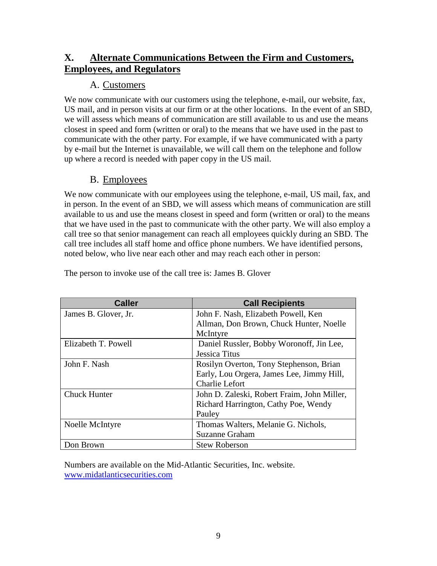### **X. Alternate Communications Between the Firm and Customers, Employees, and Regulators**

#### A. Customers

We now communicate with our customers using the telephone, e-mail, our website, fax, US mail, and in person visits at our firm or at the other locations. In the event of an SBD, we will assess which means of communication are still available to us and use the means closest in speed and form (written or oral) to the means that we have used in the past to communicate with the other party. For example, if we have communicated with a party by e-mail but the Internet is unavailable, we will call them on the telephone and follow up where a record is needed with paper copy in the US mail.

#### B. Employees

We now communicate with our employees using the telephone, e-mail, US mail, fax, and in person. In the event of an SBD, we will assess which means of communication are still available to us and use the means closest in speed and form (written or oral) to the means that we have used in the past to communicate with the other party. We will also employ a call tree so that senior management can reach all employees quickly during an SBD. The call tree includes all staff home and office phone numbers. We have identified persons, noted below, who live near each other and may reach each other in person:

| <b>Caller</b>        | <b>Call Recipients</b>                      |
|----------------------|---------------------------------------------|
| James B. Glover, Jr. | John F. Nash, Elizabeth Powell, Ken         |
|                      | Allman, Don Brown, Chuck Hunter, Noelle     |
|                      | McIntyre                                    |
| Elizabeth T. Powell  | Daniel Russler, Bobby Woronoff, Jin Lee,    |
|                      | <b>Jessica Titus</b>                        |
| John F. Nash         | Rosilyn Overton, Tony Stephenson, Brian     |
|                      | Early, Lou Orgera, James Lee, Jimmy Hill,   |
|                      | <b>Charlie Lefort</b>                       |
| <b>Chuck Hunter</b>  | John D. Zaleski, Robert Fraim, John Miller, |
|                      | Richard Harrington, Cathy Poe, Wendy        |
|                      | Pauley                                      |
| Noelle McIntyre      | Thomas Walters, Melanie G. Nichols,         |
|                      | <b>Suzanne Graham</b>                       |
| Don Brown            | <b>Stew Roberson</b>                        |

The person to invoke use of the call tree is: James B. Glover

Numbers are available on the Mid-Atlantic Securities, Inc. website. [www.midatlanticsecurities.com](http://www.midatlanticsecurities.com/)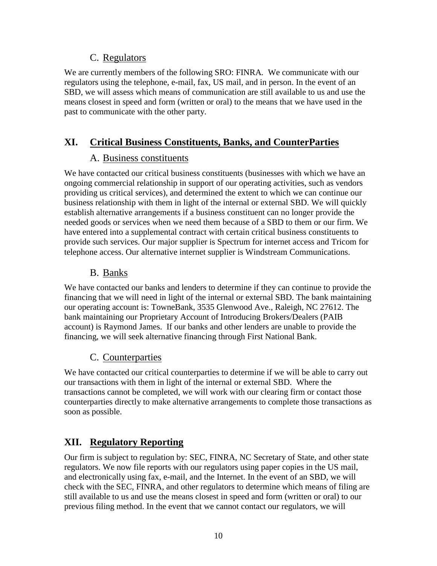#### C. Regulators

We are currently members of the following SRO: FINRA*.* We communicate with our regulators using the telephone, e-mail, fax, US mail, and in person. In the event of an SBD, we will assess which means of communication are still available to us and use the means closest in speed and form (written or oral) to the means that we have used in the past to communicate with the other party.

### **XI. Critical Business Constituents, Banks, and CounterParties**

### A. Business constituents

We have contacted our critical business constituents (businesses with which we have an ongoing commercial relationship in support of our operating activities, such as vendors providing us critical services), and determined the extent to which we can continue our business relationship with them in light of the internal or external SBD. We will quickly establish alternative arrangements if a business constituent can no longer provide the needed goods or services when we need them because of a SBD to them or our firm. We have entered into a supplemental contract with certain critical business constituents to provide such services. Our major supplier is Spectrum for internet access and Tricom for telephone access. Our alternative internet supplier is Windstream Communications.

### B. Banks

We have contacted our banks and lenders to determine if they can continue to provide the financing that we will need in light of the internal or external SBD. The bank maintaining our operating account is: TowneBank, 3535 Glenwood Ave., Raleigh, NC 27612. The bank maintaining our Proprietary Account of Introducing Brokers/Dealers (PAIB account) is Raymond James. If our banks and other lenders are unable to provide the financing, we will seek alternative financing through First National Bank.

### C. Counterparties

We have contacted our critical counterparties to determine if we will be able to carry out our transactions with them in light of the internal or external SBD. Where the transactions cannot be completed, we will work with our clearing firm or contact those counterparties directly to make alternative arrangements to complete those transactions as soon as possible.

### **XII. Regulatory Reporting**

Our firm is subject to regulation by: SEC, FINRA, NC Secretary of State, and other state regulators. We now file reports with our regulators using paper copies in the US mail, and electronically using fax, e-mail, and the Internet. In the event of an SBD, we will check with the SEC, FINRA, and other regulators to determine which means of filing are still available to us and use the means closest in speed and form (written or oral) to our previous filing method. In the event that we cannot contact our regulators, we will